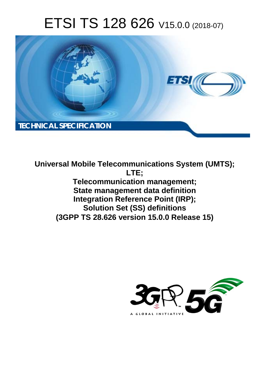# ETSI TS 128 626 V15.0.0 (2018-07)



**Universal Mobile Telecommunications System (UMTS); LTE; Telecommunication management; State management data definition Integration Reference Point (IRP); Solution Set (SS) definitions (3GPP TS 28.626 version 15.0.0 Release 15)** 

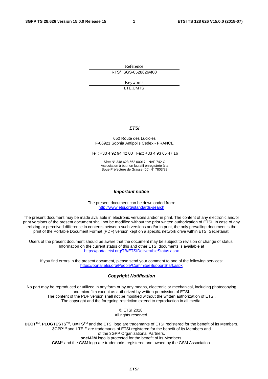Reference RTS/TSGS-0528626vf00

> Keywords LTE,UMTS

#### *ETSI*

#### 650 Route des Lucioles F-06921 Sophia Antipolis Cedex - FRANCE

Tel.: +33 4 92 94 42 00 Fax: +33 4 93 65 47 16

Siret N° 348 623 562 00017 - NAF 742 C Association à but non lucratif enregistrée à la Sous-Préfecture de Grasse (06) N° 7803/88

#### *Important notice*

The present document can be downloaded from: <http://www.etsi.org/standards-search>

The present document may be made available in electronic versions and/or in print. The content of any electronic and/or print versions of the present document shall not be modified without the prior written authorization of ETSI. In case of any existing or perceived difference in contents between such versions and/or in print, the only prevailing document is the print of the Portable Document Format (PDF) version kept on a specific network drive within ETSI Secretariat.

Users of the present document should be aware that the document may be subject to revision or change of status. Information on the current status of this and other ETSI documents is available at <https://portal.etsi.org/TB/ETSIDeliverableStatus.aspx>

If you find errors in the present document, please send your comment to one of the following services: <https://portal.etsi.org/People/CommiteeSupportStaff.aspx>

#### *Copyright Notification*

No part may be reproduced or utilized in any form or by any means, electronic or mechanical, including photocopying and microfilm except as authorized by written permission of ETSI. The content of the PDF version shall not be modified without the written authorization of ETSI. The copyright and the foregoing restriction extend to reproduction in all media.

> © ETSI 2018. All rights reserved.

**DECT**TM, **PLUGTESTS**TM, **UMTS**TM and the ETSI logo are trademarks of ETSI registered for the benefit of its Members. **3GPP**TM and **LTE**TM are trademarks of ETSI registered for the benefit of its Members and of the 3GPP Organizational Partners. **oneM2M** logo is protected for the benefit of its Members.

**GSM**® and the GSM logo are trademarks registered and owned by the GSM Association.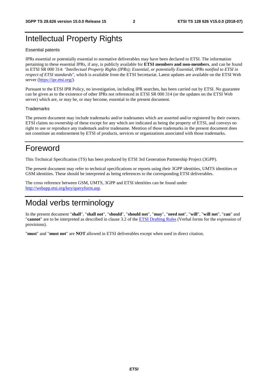#### Intellectual Property Rights

#### Essential patents

IPRs essential or potentially essential to normative deliverables may have been declared to ETSI. The information pertaining to these essential IPRs, if any, is publicly available for **ETSI members and non-members**, and can be found in ETSI SR 000 314: *"Intellectual Property Rights (IPRs); Essential, or potentially Essential, IPRs notified to ETSI in respect of ETSI standards"*, which is available from the ETSI Secretariat. Latest updates are available on the ETSI Web server ([https://ipr.etsi.org/\)](https://ipr.etsi.org/).

Pursuant to the ETSI IPR Policy, no investigation, including IPR searches, has been carried out by ETSI. No guarantee can be given as to the existence of other IPRs not referenced in ETSI SR 000 314 (or the updates on the ETSI Web server) which are, or may be, or may become, essential to the present document.

#### **Trademarks**

The present document may include trademarks and/or tradenames which are asserted and/or registered by their owners. ETSI claims no ownership of these except for any which are indicated as being the property of ETSI, and conveys no right to use or reproduce any trademark and/or tradename. Mention of those trademarks in the present document does not constitute an endorsement by ETSI of products, services or organizations associated with those trademarks.

#### Foreword

This Technical Specification (TS) has been produced by ETSI 3rd Generation Partnership Project (3GPP).

The present document may refer to technical specifications or reports using their 3GPP identities, UMTS identities or GSM identities. These should be interpreted as being references to the corresponding ETSI deliverables.

The cross reference between GSM, UMTS, 3GPP and ETSI identities can be found under [http://webapp.etsi.org/key/queryform.asp.](http://webapp.etsi.org/key/queryform.asp)

#### Modal verbs terminology

In the present document "**shall**", "**shall not**", "**should**", "**should not**", "**may**", "**need not**", "**will**", "**will not**", "**can**" and "**cannot**" are to be interpreted as described in clause 3.2 of the [ETSI Drafting Rules](https://portal.etsi.org/Services/editHelp!/Howtostart/ETSIDraftingRules.aspx) (Verbal forms for the expression of provisions).

"**must**" and "**must not**" are **NOT** allowed in ETSI deliverables except when used in direct citation.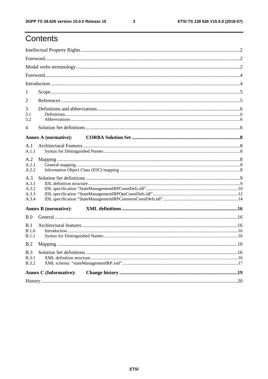### Contents

| 1                             |  |  |  |  |  |  |
|-------------------------------|--|--|--|--|--|--|
| $\overline{2}$                |  |  |  |  |  |  |
| 3<br>3.1<br>3.2               |  |  |  |  |  |  |
| $\overline{4}$                |  |  |  |  |  |  |
| <b>Annex A (normative):</b>   |  |  |  |  |  |  |
| A.1                           |  |  |  |  |  |  |
| A.1.1                         |  |  |  |  |  |  |
| A.2<br>A.2.1<br>A.2.2         |  |  |  |  |  |  |
| A.3                           |  |  |  |  |  |  |
| A.3.1                         |  |  |  |  |  |  |
| A.3.2                         |  |  |  |  |  |  |
| A.3.3<br>A.3.4                |  |  |  |  |  |  |
| <b>Annex B</b> (normative):   |  |  |  |  |  |  |
|                               |  |  |  |  |  |  |
| B.0<br>B.1                    |  |  |  |  |  |  |
|                               |  |  |  |  |  |  |
| B.1.0<br>B.1.1                |  |  |  |  |  |  |
| B.2                           |  |  |  |  |  |  |
|                               |  |  |  |  |  |  |
| B.3<br>B.3.1                  |  |  |  |  |  |  |
| <b>B.3.2</b>                  |  |  |  |  |  |  |
| <b>Annex C</b> (Informative): |  |  |  |  |  |  |
|                               |  |  |  |  |  |  |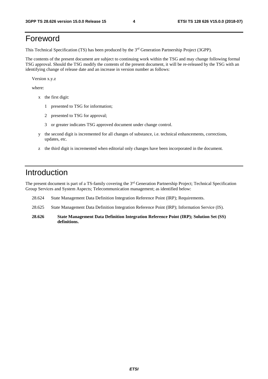#### Foreword

This Technical Specification (TS) has been produced by the 3rd Generation Partnership Project (3GPP).

The contents of the present document are subject to continuing work within the TSG and may change following formal TSG approval. Should the TSG modify the contents of the present document, it will be re-released by the TSG with an identifying change of release date and an increase in version number as follows:

Version x.y.z

where:

- x the first digit:
	- 1 presented to TSG for information;
	- 2 presented to TSG for approval;
	- 3 or greater indicates TSG approved document under change control.
- y the second digit is incremented for all changes of substance, i.e. technical enhancements, corrections, updates, etc.
- z the third digit is incremented when editorial only changes have been incorporated in the document.

#### Introduction

The present document is part of a TS-family covering the 3rd Generation Partnership Project; Technical Specification Group Services and System Aspects; Telecommunication management; as identified below:

- 28.624 State Management Data Definition Integration Reference Point (IRP); Requirements.
- 28.625 State Management Data Definition Integration Reference Point (IRP); Information Service (IS).
- **28.626 State Management Data Definition Integration Reference Point (IRP); Solution Set (SS) definitions.**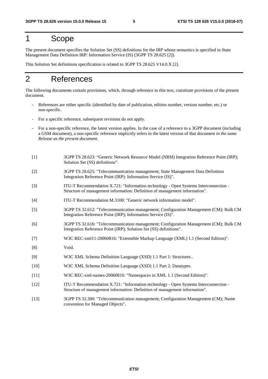#### 1 Scope

The present document specifies the Solution Set (SS) definitions for the IRP whose semantics is specified in State Management Data Definition IRP: Information Service (IS) (3GPP TS 28.625 [2]).

This Solution Set definitions specification is related to 3GPP TS 28.625 V14.0.X [2].

#### 2 References

The following documents contain provisions, which, through reference in this text, constitute provisions of the present document.

- References are either specific (identified by date of publication, edition number, version number, etc.) or non-specific.
- For a specific reference, subsequent revisions do not apply.
- For a non-specific reference, the latest version applies. In the case of a reference to a 3GPP document (including a GSM document), a non-specific reference implicitly refers to the latest version of that document *in the same Release as the present document*.
- [1] 3GPP TS 28.623: "Generic Network Resource Model (NRM) Integration Reference Point (IRP); Solution Set (SS) definitions".
- [2] 3GPP TS 28.625: "Telecommunication management; State Management Data Definition Integration Reference Point (IRP): Information Service (IS)".
- [3] ITU-T Recommendation X.721: "Information technology Open Systems Interconnection Structure of management information: Definition of management information".
- [4] ITU-T Recommendation M.3100: "Generic network information model".
- [5] 3GPP TS 32.612: "Telecommunication management; Configuration Management (CM); Bulk CM Integration Reference Point (IRP); Information Service (IS)".
- [6] 3GPP TS 32.616: "Telecommunication management; Configuration Management (CM); Bulk CM Integration Reference Point (IRP); Solution Set (SS) definitions".
- [7] W3C REC-xml11-20060816: "Extensible Markup Language (XML) 1.1 (Second Edition)".
- [8] Void.
- [9] W3C XML Schema Definition Language (XSD) 1.1 Part 1: Structures..
- [10] W3C XML Schema Definition Language (XSD) 1.1 Part 2: Datatypes.
- [11] W3C REC-xml-names-20060816: "Namespaces in XML 1.1 (Second Edition)".
- [12] ITU-T Recommendation X.721: "Information technology Open Systems Interconnection Structure of management information: Definition of management information".
- [13] 3GPP TS 32.300: "Telecommunication management; Configuration Management (CM); Name convention for Managed Objects".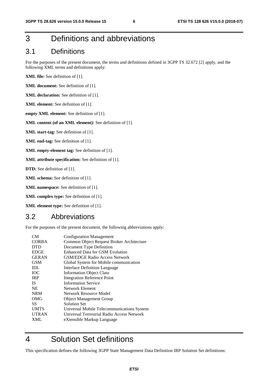#### 3 Definitions and abbreviations

#### 3.1 Definitions

For the purposes of the present document, the terms and definitions defined in 3GPP TS 32.672 [2] apply, and the following XML terms and definitions apply:

**XML file:** See definition of [1].

**XML document:** See definition of [1].

**XML declaration:** See definition of [1].

- **XML element:** See definition of [1].
- **empty XML element:** See definition of [1].

#### **XML content (of an XML element):** See definition of [1].

**XML start-tag:** See definition of [1].

**XML end-tag:** See definition of [1].

**XML empty-element tag:** See definition of [1].

**XML attribute specification:** See definition of [1].

**DTD:** See definition of [1].

**XML schema:** See definition of [1].

**XML namespace:** See definition of [1].

**XML complex type:** See definition of [1].

**XML element type:** See definition of [1].

#### 3.2 Abbreviations

For the purposes of the present document, the following abbreviations apply:

| <b>Configuration Management</b>            |
|--------------------------------------------|
| Common Object Request Broker Architecture  |
| Document Type Definition                   |
| <b>Enhanced Data for GSM Evolution</b>     |
| <b>GSM/EDGE Radio Access Network</b>       |
| Global System for Mobile communication     |
| <b>Interface Definition Language</b>       |
| <b>Information Object Class</b>            |
| <b>Integration Reference Point</b>         |
| <b>Information Service</b>                 |
| Network Element                            |
| <b>Network Resource Model</b>              |
| <b>Object Management Group</b>             |
| <b>Solution Set</b>                        |
| Universal Mobile Telecommunications System |
| Universal Terrestrial Radio Access Network |
| eXtensible Markup Language                 |
|                                            |

#### 4 Solution Set definitions

This specification defines the following 3GPP State Management Data Definition IRP Solution Set definitions: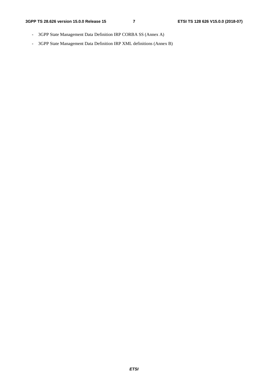- 3GPP State Management Data Definition IRP CORBA SS (Annex A)
- 3GPP State Management Data Definition IRP XML definitions (Annex B)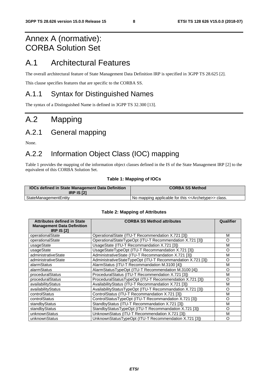### Annex A (normative): CORBA Solution Set

#### A.1 Architectural Features

The overall architectural feature of State Management Data Definition IRP is specified in 3GPP TS 28.625 [2].

This clause specifies features that are specific to the CORBA SS.

#### A.1.1 Syntax for Distinguished Names

The syntax of a Distinguished Name is defined in 3GPP TS 32.300 [13].

### A.2 Mapping

### A.2.1 General mapping

None.

#### A.2.2 Information Object Class (IOC) mapping

Table 1 provides the mapping of the information object classes defined in the IS of the State Management IRP [2] to the equivalent of this CORBA Solution Set.

#### **Table 1: Mapping of IOCs**

| <b>IOCs defined in State Management Data Definition</b><br><b>IRP IS [2]</b> | <b>CORBA SS Method</b>                                                |
|------------------------------------------------------------------------------|-----------------------------------------------------------------------|
| StateManagementEntity                                                        | I No mapping applicable for this < <archetype>&gt; class.</archetype> |

| <b>Attributes defined in State</b><br><b>Management Data Definition</b><br><b>IRP IS [2]</b> | <b>CORBA SS Method attributes</b>                           | Qualifier |
|----------------------------------------------------------------------------------------------|-------------------------------------------------------------|-----------|
| operationalState                                                                             | OperationalState (ITU-T Recommendation X.721 [3])           | м         |
| operationalState                                                                             | OperationalStateTypeOpt (ITU-T Recommendation X.721 [3])    | O         |
| usageState                                                                                   | UsageState (ITU-T Recommandation X.721 [3])                 | М         |
| usageState                                                                                   | UsageStateTypeOpt (ITU-T Recommandation X.721 [3])          | O         |
| administrativeState                                                                          | AdministrativeState (ITU-T Recommandation X.721 [3])        | м         |
| administrativeState                                                                          | AdministrativeStateTypeOpt (ITU-T Recommandation X.721 [3]) | O         |
| alarmStatus                                                                                  | AlarmStatus (ITU-T Recommandation M.3100 [4])               | M         |
| alarmStatus                                                                                  | AlarmStatusTypeOpt (ITU-T Recommendation M.3100 [4])        | O         |
| proceduralStatus                                                                             | ProceduralStatus (ITU-T Recommendation X.721 [3])           | М         |
| proceduralStatus                                                                             | ProceduralStatusTypeOpt (ITU-T Recommendation X.721 [3])    | O         |
| availabilityStatus                                                                           | AvailabilityStatus (ITU-T Recommandation X.721 [3])         | М         |
| availabilityStatus                                                                           | AvailabilityStatusTypeOpt (ITU-T Recommandation X.721 [3])  | O         |
| controlStatus                                                                                | ControlStatus (ITU-T Recommandation X.721 [3])              | М         |
| controlStatus                                                                                | ControlStatusTypeOpt (ITU-T Recommandation X.721 [3])       | O         |
| standbyStatus                                                                                | StandbyStatus (ITU-T Recommandation X.721 [3])              | М         |
| standbyStatus                                                                                | StandbyStatusTypeOpt (ITU-T Recommandation X.721 [3])       | O         |
| unknownStatus                                                                                | UnknownStatus (ITU-T Recommendation X.721 [3])              | М         |
| unknownStatus                                                                                | UnknownStatusTypeOpt (ITU-T Recommendation X.721 [3])       | $\circ$   |

#### **Table 2: Mapping of Attributes**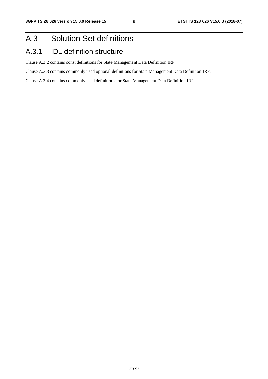### A.3 Solution Set definitions

#### A.3.1 IDL definition structure

Clause A.3.2 contains const definitions for State Management Data Definition IRP.

Clause A.3.3 contains commonly used optional definitions for State Management Data Definition IRP.

Clause A.3.4 contains commonly used definitions for State Management Data Definition IRP.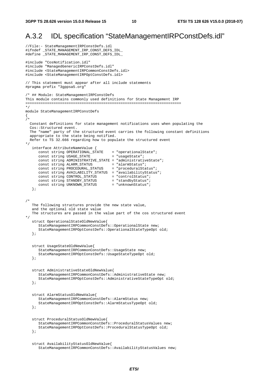#### A.3.2 IDL specification "StateManagementIRPConstDefs.idl"

```
//File:- StateManagementIRPConstDefs.idl 
#ifndef _STATE_MANAGEMENT_IRP_CONST_DEFS_IDL_ 
#define _STATE_MANAGEMENT_IRP_CONST_DEFS_IDL_ 
#include "CosNotification.idl" 
#include "ManagedGenericIRPConstDefs.idl" 
#include <StateManagementIRPCommonConstDefs.idl> 
#include <StateManagementIRPOptConstDefs.idl> 
// This statement must appear after all include statements 
#pragma prefix "3gppsa5.org" 
/* ## Module: StateManagementIRPConstDefs 
This module contains commonly used definitions for State Management IRP 
======================================================================== 
*/ 
module StateManagementIRPConstDefs 
{ 
/* 
   Constant definitions for state management notifications uses when populating the 
   Cos::Structured event. 
   The "name" party of the structured event carries the following constant definitions 
   appropriate to the state being notified. 
   Refer to TS 32.666 regarding how to populate the structured event 
*/ 
    interface AttributeNameValue { 
 const string OPERATIONAL_STATE = "operationalState"; 
const string USAGE_STATE = "usageState";
      const string ADMINISTRATIVE_STATE = "administrativeState";<br>const string ALARM_STATUS = "alarmStatus";
const string ALARM_STATUS = "alarmStatus";
 const string PROCEDURAL_STATUS = "proceduralStatus"; 
       const string AVAILABILITY_STATUS = "availabilityStatus"; 
 const string CONTROL_STATUS = "controlStatus"; 
 const string STANDBY_STATUS = "standbyStatus"; 
 const string UNKNOWN_STATUS = "unknownStatus"; 
    }; 
/* 
   The following structures provide the new state value, 
    and the optional old state value 
   The structures are passed in the value part of the cos structured event 
*/ 
    struct OperationalStateOldNewValue{ 
       StateManagementIRPCommonConstDefs::OperationalState new; 
       StateManagementIRPOptConstDefs::OperationalStateTypeOpt old; 
    }; 
    struct UsageStateOldNewValue{ 
       StateManagementIRPCommonConstDefs::UsageState new; 
       StateManagementIRPOptConstDefs::UsageStateTypeOpt old; 
    }; 
    struct AdministrativeStateOldNewValue{ 
       StateManagementIRPCommonConstDefs::AdministrativeState new; 
       StateManagementIRPOptConstDefs::AdministrativeStateTypeOpt old; 
    }; 
    struct AlarmStatusOldNewValue{ 
       StateManagementIRPCommonConstDefs::AlarmStatus new; 
       StateManagementIRPOptConstDefs::AlarmStatusTypeOpt old; 
    }; 
    struct ProceduralStatusOldNewValue{ 
       StateManagementIRPCommonConstDefs::ProceduralStatusValues new; 
       StateManagementIRPOptConstDefs::ProceduralStatusTypeOpt old; 
    }; 
    struct AvailabilityStatusOldNewValue{ 
       StateManagementIRPCommonConstDefs::AvailabilityStatusValues new;
```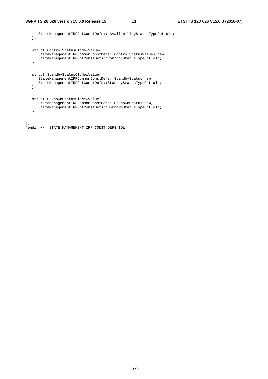*ETSI* 

```
 StateManagementIRPOptConstDefs:: AvailabilityStatusTypeOpt old; 
    }; 
    struct ControlStatusOldNewValue{ 
      StateManagementIRPCommonConstDefs::ControlStatusValues new; 
       StateManagementIRPOptConstDefs::ControlStatusTypeOpt old; 
    }; 
   struct StandbyStatusOldNewValue{ 
       StateManagementIRPCommonConstDefs::StandbyStatus new; 
       StateManagementIRPOptConstDefs::StandbyStatusTypeOpt old; 
    }; 
    struct UnknownStatusOldNewValue{ 
       StateManagementIRPCommonConstDefs::UnknownStatus new; 
       StateManagementIRPOptConstDefs::UnknownStatusTypeOpt old; 
    }; 
}; 
#endif // _STATE_MANAGEMENT_IRP_CONST_DEFS_IDL_
```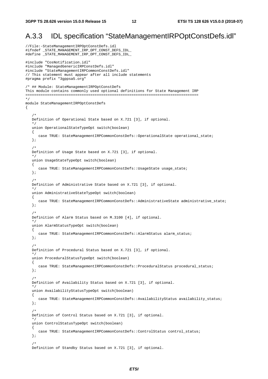#### A.3.3 IDL specification "StateManagementIRPOptConstDefs.idl"

//File:-StateManagementIRPOptConstDefs.idl #ifndef \_STATE\_MANAGEMENT\_IRP\_OPT\_CONST\_DEFS\_IDL\_ #define \_STATE\_MANAGEMENT\_IRP\_OPT\_CONST\_DEFS\_IDL\_ #include "CosNotification.idl" #include "ManagedGenericIRPConstDefs.idl" #include "StateManagementIRPCommonConstDefs.idl" // This statement must appear after all include statements #pragma prefix "3gppsa5.org" /\* ## Module: StateManagementIRPOptConstDefs This module contains commonly used optional definitions for State Management IRP ================================================================================ \*/ module StateManagementIRPOptConstDefs  $\left\{ \right.$  /\* Definition of Operational State based on X.721 [3], if optional. \*/ union OperationalStateTypeOpt switch(boolean) { case TRUE: StateManagementIRPCommonConstDefs: : OperationalState operational\_state; };  $/$  \* Definition of Usage State based on X.721 [3], if optional. \*/ union UsageStateTypeOpt switch(boolean) { case TRUE: StateManagementIRPCommonConstDefs::UsageState usage\_state; }; /\* Definition of Administrative State based on X.721 [3], if optional. \*/ union AdministrativeStateTypeOpt switch(boolean) { case TRUE: StateManagementIRPCommonConstDefs::AdministrativeState administrative state; }; /\* Definition of Alarm Status based on M.3100 [4], if optional. \*/ union AlarmStatusTypeOpt switch(boolean) { case TRUE: StateManagementIRPCommonConstDefs::AlarmStatus alarm\_status; }; /\* Definition of Procedural Status based on X.721 [3], if optional. \*/ union ProceduralStatusTypeOpt switch(boolean) { case TRUE: StateManagementIRPCommonConstDefs::ProceduralStatus procedural\_status; }; /\* Definition of Availability Status based on X.721 [3], if optional. \*/ union AvailabilityStatusTypeOpt switch(boolean) { case TRUE: StateManagementIRPCommonConstDefs::AvailabilityStatus availability\_status; }; /\* Definition of Control Status based on X.721 [3], if optional. \*/ union ControlStatusTypeOpt switch(boolean) { case TRUE: StateManagementIRPCommonConstDefs::ControlStatus control\_status; };  $/$  \* Definition of Standby Status based on X.721 [3], if optional.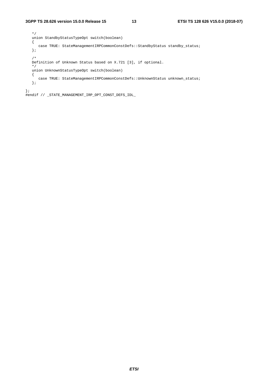```
 */ 
   union StandbyStatusTypeOpt switch(boolean) 
    { 
     case TRUE: StateManagementIRPCommonConstDefs::StandbyStatus standby_status;
    }; 
    /* 
   Definition of Unknown Status based on X.721 [3], if optional. 
    */ 
   union UnknownStatusTypeOpt switch(boolean) 
    { 
     case TRUE: StateManagementIRPCommonConstDefs::UnknownStatus unknown_status;
    }; 
};
```
#endif // \_STATE\_MANAGEMENT\_IRP\_OPT\_CONST\_DEFS\_IDL\_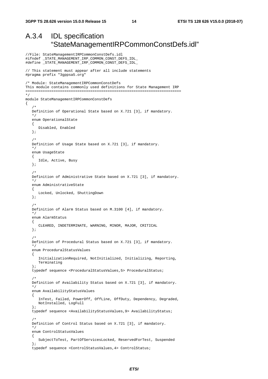//File: StateManagementIRPCommonConstDefs.idl

#### A.3.4 IDL specification "StateManagementIRPCommonConstDefs.idl"

```
#ifndef _STATE_MANAGEMENT_IRP_COMMON_CONST_DEFS_IDL_ 
#define _STATE_MANAGEMENT_IRP_COMMON_CONST_DEFS_IDL_ 
// This statement must appear after all include statements 
#pragma prefix "3gppsa5.org" 
/* Module: StateManagementIRPCommonConstDefs 
This module contains commonly used definitions for State Management IRP 
======================================================================== 
*/ 
module StateManagementIRPCommonConstDefs 
{ 
/ *
    Definition of Operational State based on X.721 [3], if mandatory. 
 */ 
    enum OperationalState 
    { 
       Disabled, Enabled 
    }; 
    /* 
    Definition of Usage State based on X.721 [3], if mandatory. 
    */ 
    enum UsageState 
    { 
       Idle, Active, Busy 
    }; 
    /* 
    Definition of Administrative State based on X.721 [3], if mandatory. 
 */ 
    enum AdministrativeState 
    { 
       Locked, Unlocked, ShuttingDown 
    }; 
    /* 
    Definition of Alarm Status based on M.3100 [4], if mandatory. 
    */ 
    enum AlarmStatus 
    { 
       CLEARED, INDETERMINATE, WARNING, MINOR, MAJOR, CRITICAL 
    }; 
    /* 
    Definition of Procedural Status based on X.721 [3], if mandatory. 
 */ 
    enum ProceduralStatusValues 
    { 
       InitializationRequired, NotInitialized, Initializing, Reporting, 
       Terminating 
    }; 
    typedef sequence <ProceduralStatusValues,5> ProceduralStatus; 
    /* 
    Definition of Availability Status based on X.721 [3], if mandatory. 
    */ 
    enum AvailabilityStatusValues 
    { 
       InTest, Failed, PowerOff, OffLine, OffDuty, Dependency, Degraded, 
       NotInstalled, LogFull 
    }; 
    typedef sequence <AvailabilityStatusValues,9> AvailabilityStatus; 
/ *
    Definition of Control Status based on X.721 [3], if mandatory. 
    */ 
    enum ControlStatusValues 
    { 
       SubjectToTest, PartOfServicesLocked, ReservedForTest, Suspended 
    }; 
    typedef sequence <ControlStatusValues,4> ControlStatus;
```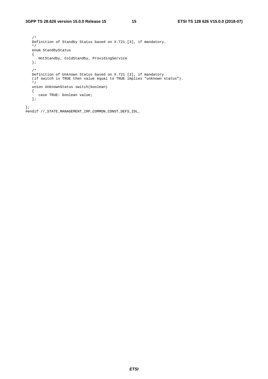/\* Definition of Standby Status based on X.721 [3], if mandatory. \*/ enum StandbyStatus  $\{$  HotStandby, ColdStandby, ProvidingService }; /\*<br>Definition of Unknown Status based on X.721 [3], if mandatory Definition of Unknown Status based on X.721 [3], if mandatory (if switch is TRUE then value equal to TRUE implies "unknown status"). \*/ union UnknownStatus switch(boolean) { case TRUE: boolean value; }; };

#endif //\_STATE\_MANAGEMENT\_IRP\_COMMON\_CONST\_DEFS\_IDL\_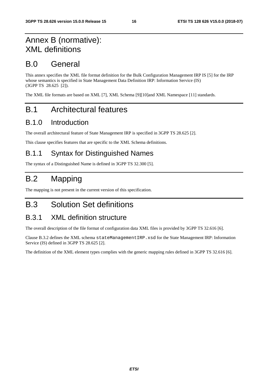### Annex B (normative): XML definitions

#### B.0 General

This annex specifies the XML file format definition for the Bulk Configuration Management IRP IS [5] for the IRP whose semantics is specified in State Management Data Definition IRP: Information Service (IS) (3GPP TS 28.625 [2]).

The XML file formats are based on XML [7], XML Schema [9][10]and XML Namespace [11] standards.

### B.1 Architectural features

#### B.1.0 Introduction

The overall architectural feature of State Management IRP is specified in 3GPP TS 28.625 [2].

This clause specifies features that are specific to the XML Schema definitions.

#### B.1.1 Syntax for Distinguished Names

The syntax of a Distinguished Name is defined in 3GPP TS 32.300 [5].

### B.2 Mapping

The mapping is not present in the current version of this specification.

#### B.3 Solution Set definitions

#### B.3.1 XML definition structure

The overall description of the file format of configuration data XML files is provided by 3GPP TS 32.616 [6].

Clause B.3.2 defines the XML schema stateManagementIRP.xsd for the State Management IRP: Information Service (IS) defined in 3GPP TS 28.625 [2].

The definition of the XML element types complies with the generic mapping rules defined in 3GPP TS 32.616 [6].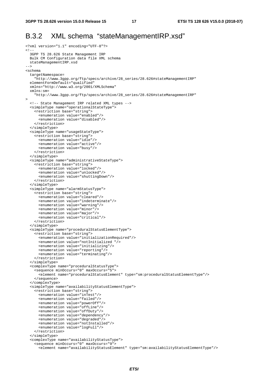#### B.3.2 XML schema "stateManagementIRP.xsd"

```
<?xml version="1.1" encoding="UTF-8"?> 
\leq ! - 3GPP TS 28.626 State Management IRP 
   Bulk CM Configuration data file XML schema 
  stateManagementIRP.xsd 
--&><schema 
  targetNamespace= 
     "http://www.3gpp.org/ftp/specs/archive/28_series/28.626#stateManagementIRP" 
   elementFormDefault="qualified" 
   xmlns="http://www.w3.org/2001/XMLSchema" 
   xmlns:sm= 
     "http://www.3gpp.org/ftp/specs/archive/28_series/28.626#stateManagementIRP" 
> 
   <!-- State Management IRP related XML types --> 
   <simpleType name="operationalStateType"> 
     <restriction base="string"> 
       <enumeration value="enabled"/> 
       <enumeration value="disabled"/> 
     </restriction> 
   </simpleType> 
   <simpleType name="usageStateType"> 
     <restriction base="string"> 
       <enumeration value="idle"/> 
       <enumeration value="active"/> 
       <enumeration value="busy"/> 
     </restriction> 
   </simpleType> 
   <simpleType name="administrativeStateType"> 
     <restriction base="string"> 
       <enumeration value="locked"/> 
       <enumeration value="unlocked"/> 
       <enumeration value="shuttingDown"/> 
     </restriction> 
   </simpleType> 
   <simpleType name="alarmStatusType"> 
     <restriction base="string"> 
       <enumeration value="cleared"/> 
       <enumeration value="indeterminate"/> 
       <enumeration value="warning"/> 
       <enumeration value="minor"/> 
       <enumeration value="major"/> 
       <enumeration value="critical"/> 
     </restriction> 
   </simpleType> 
   <simpleType name="proceduralStatusElementType"> 
     <restriction base="string"> 
       <enumeration value="initializationRequired"/> 
       <enumeration value="notInitialized "/> 
       <enumeration value="initializing"/> 
       <enumeration value="reporting"/> 
       <enumeration value="terminating"/> 
     </restriction> 
   </simpleType> 
   <complexType name="proceduralStatusType"> 
     <sequence minOccurs="0" maxOccurs="5"> 
       <element name="proceduralStatusElement" type="sm:proceduralStatusElementType"/> 
     </sequence> 
   </complexType> 
   <simpleType name="availabilityStatusElementType"> 
     <restriction base="string"> 
       <enumeration value="inTest"/> 
       <enumeration value="failed"/> 
       <enumeration value="powerOff"/> 
       <enumeration value="offLine"/> 
       <enumeration value="offDuty"/> 
       <enumeration value="dependency"/> 
       <enumeration value="degraded"/> 
       <enumeration value="notInstalled"/> 
       <enumeration value="logFull"/> 
     </restriction> 
   </simpleType> 
   <complexType name="availabilityStatusType"> 
     <sequence minOccurs="0" maxOccurs="9"> 
       <element name="availabilityStatusElement" type="sm:availabilityStatusElementType"/>
```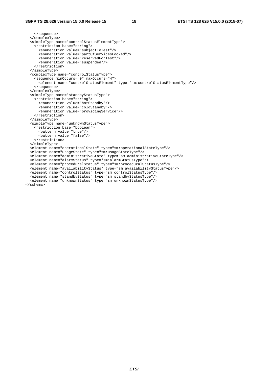```
 </sequence> 
   </complexType> 
  <simpleType name="controlStatusElementType"> 
     <restriction base="string"> 
       <enumeration value="subjectToTest"/> 
       <enumeration value="partOfServicesLocked"/> 
       <enumeration value="reservedForTest"/> 
       <enumeration value="suspended"/> 
     </restriction> 
   </simpleType> 
   <complexType name="controlStatusType"> 
     <sequence minOccurs="0" maxOccurs="4"> 
       <element name="controlStatusElement" type="sm:controlStatusElementType"/> 
     </sequence> 
   </complexType> 
   <simpleType name="standbyStatusType"> 
     <restriction base="string"> 
       <enumeration value="hotStandby"/> 
       <enumeration value="coldStandby"/> 
       <enumeration value="providingService"/> 
     </restriction> 
   </simpleType> 
   <simpleType name="unknownStatusType"> 
    <restriction base="boolean"> 
       <pattern value="true"/> 
       <pattern value="false"/> 
     </restriction> 
   </simpleType> 
  <element name="operationalState" type="sm:operationalStateType"/> 
  <element name="usageState" type="sm:usageStateType"/> 
   <element name="administrativeState" type="sm:administrativeStateType"/> 
   <element name="alarmStatus" type="sm:alarmStatusType"/> 
   <element name="proceduralStatus" type="sm:proceduralStatusType"/> 
  <element name="availabilityStatus" type="sm:availabilityStatusType"/> 
 <element name="controlStatus" type="sm:controlStatusType"/> 
 <element name="standbyStatus" type="sm:standbyStatusType"/> 
 <element name="unknownStatus" type="sm:unknownStatusType"/> 
</schema>
```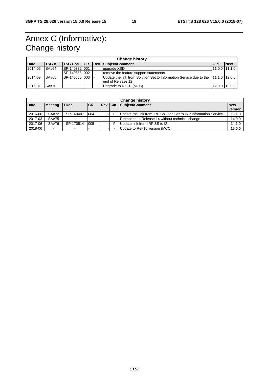### Annex C (Informative): Change history

| <b>Change history</b> |             |                 |  |  |                                                                                   |               |               |
|-----------------------|-------------|-----------------|--|--|-----------------------------------------------------------------------------------|---------------|---------------|
| <b>Date</b>           | <b>TSG#</b> | TSG Doc. CR Rev |  |  | Subject/Comment                                                                   | l Old         | <b>New</b>    |
| 2014-06               | SA#64       | SP-140332 001   |  |  | upgrade XSD                                                                       | 11.0.0 11.1.0 |               |
|                       |             | ISP-140358 002  |  |  | remove the feature support statements                                             |               |               |
| 2014-09               | SA#65       | ISP-140560 003  |  |  | Update the link from Solution Set to Information Service due to the 11.1.0 12.0.0 |               |               |
|                       |             |                 |  |  | lend of Release 12                                                                |               |               |
| 2016-01               | SA#70       |                 |  |  | Upgrade to Rel-13(MCC)                                                            |               | 12.0.0 13.0.0 |
|                       |             |                 |  |  |                                                                                   |               |               |

| <b>Change history</b> |                          |             |            |                |  |                                                                  |                       |
|-----------------------|--------------------------|-------------|------------|----------------|--|------------------------------------------------------------------|-----------------------|
| <b>Date</b>           | <b>Meeting</b>           | <b>TDoc</b> | <b>ICR</b> | <b>Rev Cat</b> |  | Subject/Comment                                                  | <b>New</b><br>version |
| 2016-06               | SA#72                    | SP-160407   | 004        |                |  | Update the link from IRP Solution Set to IRP Information Service | 13.1.0                |
| 2017-03               | SA#75                    |             |            |                |  | Promotion to Release 14 without technical change                 | 14.0.0                |
| 2017-06               | SA#76                    | SP-170514   | 005        |                |  | Update link from IRP SS to IS                                    | 14.1.0                |
| 2018-06               | $\overline{\phantom{a}}$ |             |            |                |  | Update to Rel-15 version (MCC)                                   | 15.0.0                |